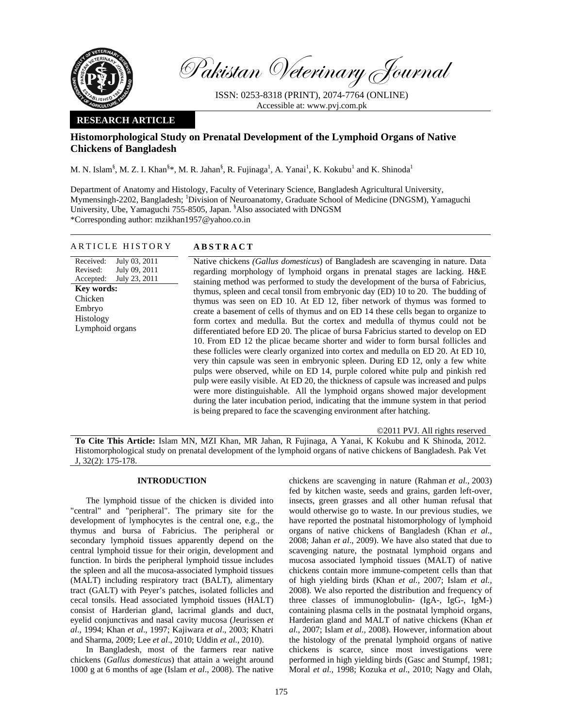

Pakistan Veterinary Journal

ISSN: 0253-8318 (PRINT), 2074-7764 (ONLINE) Accessible at: www.pvj.com.pk

# **RESEARCH ARTICLE**

# **Histomorphological Study on Prenatal Development of the Lymphoid Organs of Native Chickens of Bangladesh**

M. N. Islam<sup>§</sup>, M. Z. I. Khan<sup>§\*</sup>, M. R. Jahan<sup>§</sup>, R. Fujinaga<sup>1</sup>, A. Yanai<sup>1</sup>, K. Kokubu<sup>1</sup> and K. Shinoda<sup>1</sup>

Department of Anatomy and Histology, Faculty of Veterinary Science, Bangladesh Agricultural University, Mymensingh-2202, Bangladesh; <sup>1</sup>Division of Neuroanatomy, Graduate School of Medicine (DNGSM), Yamaguchi University, Ube, Yamaguchi 755-8505, Japan. <sup>§</sup>Also associated with DNGSM \*Corresponding author: mzikhan1957@yahoo.co.in

## ARTICLE HISTORY **ABSTRACT**

Received: Revised: Accepted: July 03, 2011 July 09, 2011 July 23, 2011 **Key words:**  Chicken Embryo Histology Lymphoid organs

Native chickens *(Gallus domesticus*) of Bangladesh are scavenging in nature. Data regarding morphology of lymphoid organs in prenatal stages are lacking. H&E staining method was performed to study the development of the bursa of Fabricius, thymus, spleen and cecal tonsil from embryonic day (ED) 10 to 20. The budding of thymus was seen on ED 10. At ED 12, fiber network of thymus was formed to create a basement of cells of thymus and on ED 14 these cells began to organize to form cortex and medulla. But the cortex and medulla of thymus could not be differentiated before ED 20. The plicae of bursa Fabricius started to develop on ED 10. From ED 12 the plicae became shorter and wider to form bursal follicles and these follicles were clearly organized into cortex and medulla on ED 20. At ED 10, very thin capsule was seen in embryonic spleen. During ED 12, only a few white pulps were observed, while on ED 14, purple colored white pulp and pinkish red pulp were easily visible. At ED 20, the thickness of capsule was increased and pulps were more distinguishable. All the lymphoid organs showed major development during the later incubation period, indicating that the immune system in that period is being prepared to face the scavenging environment after hatching.

©2011 PVJ. All rights reserved

**To Cite This Article:** Islam MN, MZI Khan, MR Jahan, R Fujinaga, A Yanai, K Kokubu and K Shinoda, 2012. Histomorphological study on prenatal development of the lymphoid organs of native chickens of Bangladesh. Pak Vet J, 32(2): 175-178.

# **INTRODUCTION**

The lymphoid tissue of the chicken is divided into "central" and "peripheral". The primary site for the development of lymphocytes is the central one, e.g., the thymus and bursa of Fabricius. The peripheral or secondary lymphoid tissues apparently depend on the central lymphoid tissue for their origin, development and function. In birds the peripheral lymphoid tissue includes the spleen and all the mucosa-associated lymphoid tissues (MALT) including respiratory tract (BALT), alimentary tract (GALT) with Peyer's patches, isolated follicles and cecal tonsils. Head associated lymphoid tissues (HALT) consist of Harderian gland, lacrimal glands and duct, eyelid conjunctivas and nasal cavity mucosa (Jeurissen *et al*., 1994; Khan *et al*., 1997; Kajiwara *et al*., 2003; Khatri and Sharma, 2009; Lee *et al*., 2010; Uddin *et al.,* 2010).

In Bangladesh, most of the farmers rear native chickens (*Gallus domesticus*) that attain a weight around 1000 g at 6 months of age (Islam *et al*., 2008). The native

chickens are scavenging in nature (Rahman *et al.,* 2003) fed by kitchen waste, seeds and grains, garden left-over, insects, green grasses and all other human refusal that would otherwise go to waste. In our previous studies, we have reported the postnatal histomorphology of lymphoid organs of native chickens of Bangladesh (Khan *et al*., 2008; Jahan *et al*., 2009). We have also stated that due to scavenging nature, the postnatal lymphoid organs and mucosa associated lymphoid tissues (MALT) of native chickens contain more immune-competent cells than that of high yielding birds (Khan *et al.,* 2007; Islam *et al.,* 2008). We also reported the distribution and frequency of three classes of immunoglobulin- (IgA-, IgG-, IgM-) containing plasma cells in the postnatal lymphoid organs, Harderian gland and MALT of native chickens (Khan *et al.,* 2007; Islam *et al.,* 2008). However, information about the histology of the prenatal lymphoid organs of native chickens is scarce, since most investigations were performed in high yielding birds (Gasc and Stumpf, 1981; Moral *et al.,* 1998; Kozuka *et al*., 2010; Nagy and Olah,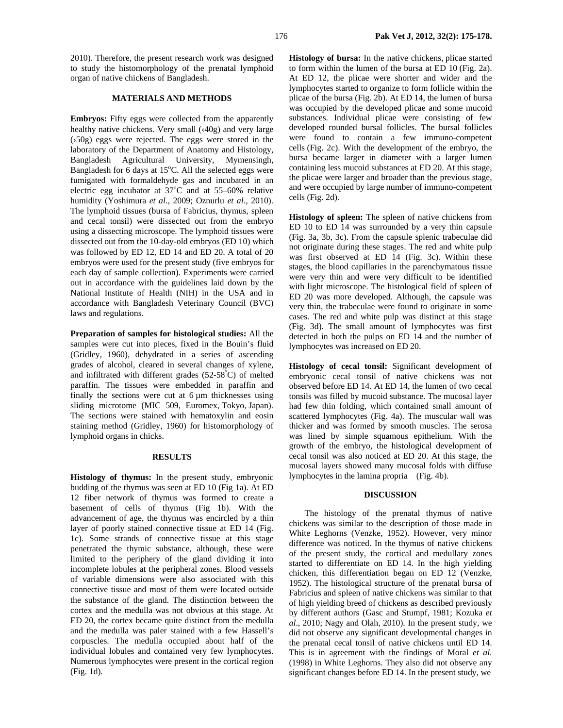2010). Therefore, the present research work was designed to study the histomorphology of the prenatal lymphoid organ of native chickens of Bangladesh.

## **MATERIALS AND METHODS**

**Embryos:** Fifty eggs were collected from the apparently healthy native chickens. Very small (‹40g) and very large (›50g) eggs were rejected. The eggs were stored in the laboratory of the Department of Anatomy and Histology, Bangladesh Agricultural University, Mymensingh, Bangladesh for 6 days at 15°C. All the selected eggs were fumigated with formaldehyde gas and incubated in an electric egg incubator at  $37^{\circ}$ C and at 55-60% relative humidity (Yoshimura *et al*., 2009; Oznurlu *et al*., 2010). The lymphoid tissues (bursa of Fabricius, thymus, spleen and cecal tonsil) were dissected out from the embryo using a dissecting microscope. The lymphoid tissues were dissected out from the 10-day-old embryos (ED 10) which was followed by ED 12, ED 14 and ED 20. A total of 20 embryos were used for the present study (five embryos for each day of sample collection). Experiments were carried out in accordance with the guidelines laid down by the National Institute of Health (NIH) in the USA and in accordance with Bangladesh Veterinary Council (BVC) laws and regulations.

**Preparation of samples for histological studies:** All the samples were cut into pieces, fixed in the Bouin's fluid (Gridley, 1960), dehydrated in a series of ascending grades of alcohol, cleared in several changes of xylene, and infiltrated with different grades (52-58° C) of melted paraffin. The tissues were embedded in paraffin and finally the sections were cut at  $6 \mu m$  thicknesses using sliding microtome (MIC 509, Euromex, Tokyo, Japan). The sections were stained with hematoxylin and eosin staining method (Gridley, 1960) for histomorphology of lymphoid organs in chicks.

## **RESULTS**

**Histology of thymus:** In the present study, embryonic budding of the thymus was seen at ED 10 (Fig 1a). At ED 12 fiber network of thymus was formed to create a basement of cells of thymus (Fig 1b). With the advancement of age, the thymus was encircled by a thin layer of poorly stained connective tissue at ED 14 (Fig. 1c). Some strands of connective tissue at this stage penetrated the thymic substance, although, these were limited to the periphery of the gland dividing it into incomplete lobules at the peripheral zones. Blood vessels of variable dimensions were also associated with this connective tissue and most of them were located outside the substance of the gland. The distinction between the cortex and the medulla was not obvious at this stage. At ED 20, the cortex became quite distinct from the medulla and the medulla was paler stained with a few Hassell's corpuscles. The medulla occupied about half of the individual lobules and contained very few lymphocytes. Numerous lymphocytes were present in the cortical region (Fig. 1d).

**Histology of bursa:** In the native chickens, plicae started to form within the lumen of the bursa at ED 10 (Fig. 2a). At ED 12, the plicae were shorter and wider and the lymphocytes started to organize to form follicle within the plicae of the bursa (Fig. 2b). At ED 14, the lumen of bursa was occupied by the developed plicae and some mucoid substances. Individual plicae were consisting of few developed rounded bursal follicles. The bursal follicles were found to contain a few immuno-competent cells (Fig. 2c). With the development of the embryo, the bursa became larger in diameter with a larger lumen containing less mucoid substances at ED 20. At this stage, the plicae were larger and broader than the previous stage, and were occupied by large number of immuno-competent cells (Fig. 2d).

**Histology of spleen:** The spleen of native chickens from ED 10 to ED 14 was surrounded by a very thin capsule (Fig. 3a, 3b, 3c). From the capsule splenic trabeculae did not originate during these stages. The red and white pulp was first observed at ED 14 (Fig. 3c). Within these stages, the blood capillaries in the parenchymatous tissue were very thin and were very difficult to be identified with light microscope. The histological field of spleen of ED 20 was more developed. Although, the capsule was very thin, the trabeculae were found to originate in some cases. The red and white pulp was distinct at this stage (Fig. 3d). The small amount of lymphocytes was first detected in both the pulps on ED 14 and the number of lymphocytes was increased on ED 20.

**Histology of cecal tonsil:** Significant development of embryonic cecal tonsil of native chickens was not observed before ED 14. At ED 14, the lumen of two cecal tonsils was filled by mucoid substance. The mucosal layer had few thin folding, which contained small amount of scattered lymphocytes (Fig. 4a). The muscular wall was thicker and was formed by smooth muscles. The serosa was lined by simple squamous epithelium. With the growth of the embryo, the histological development of cecal tonsil was also noticed at ED 20. At this stage, the mucosal layers showed many mucosal folds with diffuse lymphocytes in the lamina propria (Fig. 4b).

### **DISCUSSION**

The histology of the prenatal thymus of native chickens was similar to the description of those made in White Leghorns (Venzke, 1952). However, very minor difference was noticed. In the thymus of native chickens of the present study, the cortical and medullary zones started to differentiate on ED 14. In the high yielding chicken, this differentiation began on ED 12 (Venzke, 1952). The histological structure of the prenatal bursa of Fabricius and spleen of native chickens was similar to that of high yielding breed of chickens as described previously by different authors (Gasc and Stumpf, 1981; Kozuka *et al*., 2010; Nagy and Olah, 2010). In the present study, we did not observe any significant developmental changes in the prenatal cecal tonsil of native chickens until ED 14. This is in agreement with the findings of Moral *et al.* (1998) in White Leghorns. They also did not observe any significant changes before ED 14. In the present study, we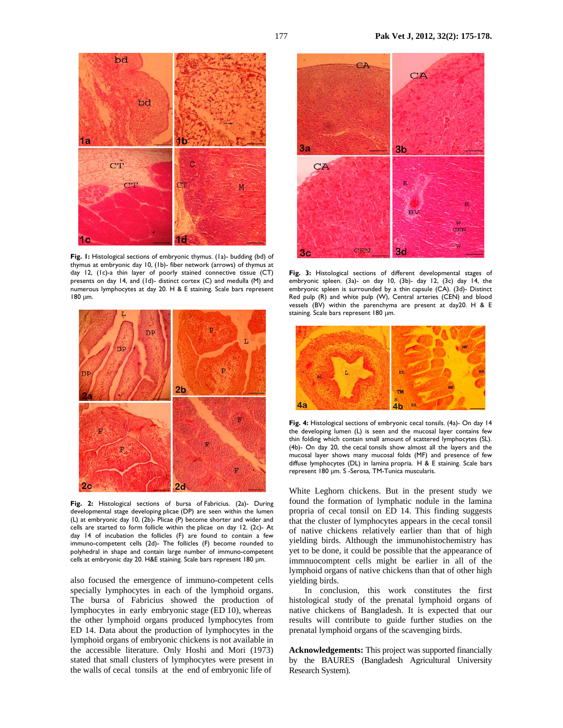

**Fig. 1:** Histological sections of embryonic thymus. (1a)- budding (bd) of thymus at embryonic day 10, (1b)- fiber network (arrows) of thymus at day 12, (1c)-a thin layer of poorly stained connective tissue (CT) presents on day 14, and (1d)- distinct cortex (C) and medulla (M) and numerous lymphocytes at day 20. H & E staining. Scale bars represent 180 µm.



**Fig. 2:** Histological sections of bursa of Fabricius. (2a)- During developmental stage developing plicae (DP) are seen within the lumen (L) at embryonic day 10, (2b)- Plicae (P) become shorter and wider and cells are started to form follicle within the plicae on day 12. (2c)- At day 14 of incubation the follicles (F) are found to contain a few immuno-competent cells (2d)- The follicles (F) become rounded to polyhedral in shape and contain large number of immuno-competent cells at embryonic day 20. H&E staining. Scale bars represent 180 µm.

also focused the emergence of immuno-competent cells specially lymphocytes in each of the lymphoid organs. The bursa of Fabricius showed the production of lymphocytes in early embryonic stage (ED 10), whereas the other lymphoid organs produced lymphocytes from ED 14. Data about the production of lymphocytes in the lymphoid organs of embryonic chickens is not available in the accessible literature. Only Hoshi and Mori (1973) stated that small clusters of lymphocytes were present in the walls of cecal tonsils at the end of embryonic life of



**Fig. 3:** Histological sections of different developmental stages of embryonic spleen. (3a)- on day 10, (3b)- day 12, (3c) day 14, the embryonic spleen is surrounded by a thin capsule (CA). (3d)- Distinct Red pulp (R) and white pulp (W), Central arteries (CEN) and blood vessels (BV) within the parenchyma are present at day20. H & E staining. Scale bars represent 180 µm.



**Fig. 4:** Histological sections of embryonic cecal tonsils. (4a)- On day 14 the developing lumen (L) is seen and the mucosal layer contains few thin folding which contain small amount of scattered lymphocytes (SL). (4b)- On day 20, the cecal tonsils show almost all the layers and the mucosal layer shows many mucosal folds (MF) and presence of few diffuse lymphocytes (DL) in lamina propria. H & E staining. Scale bars represent 180 µm. S -Serosa, TM-Tunica muscularis.

White Leghorn chickens. But in the present study we found the formation of lymphatic nodule in the lamina propria of cecal tonsil on ED 14. This finding suggests that the cluster of lymphocytes appears in the cecal tonsil of native chickens relatively earlier than that of high yielding birds. Although the immunohistochemistry has yet to be done, it could be possible that the appearance of immnuocomptent cells might be earlier in all of the lymphoid organs of native chickens than that of other high yielding birds.

In conclusion, this work constitutes the first histological study of the prenatal lymphoid organs of native chickens of Bangladesh. It is expected that our results will contribute to guide further studies on the prenatal lymphoid organs of the scavenging birds.

**Acknowledgements:** This project was supported financially by the BAURES (Bangladesh Agricultural University Research System).